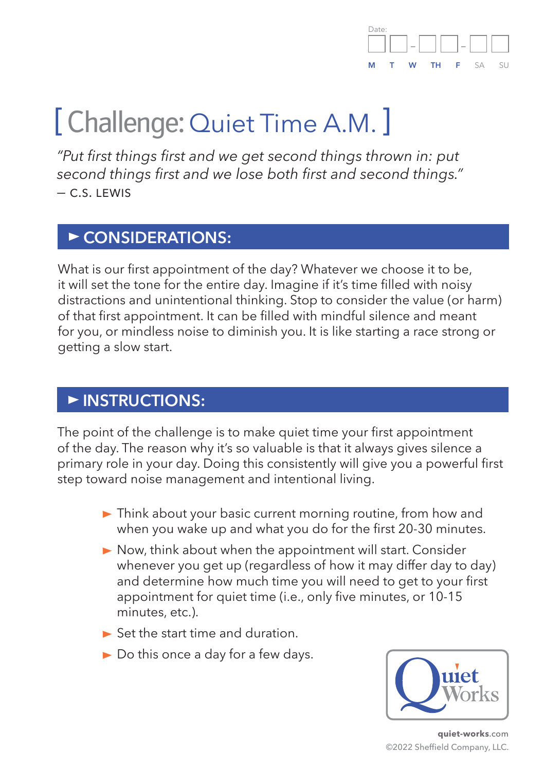

# [ Challenge: Quiet Time A.M. ]

*"Put first things first and we get second things thrown in: put second things first and we lose both first and second things." —* c.s. lewis

#### CONSIDERATIONS:

What is our first appointment of the day? Whatever we choose it to be, it will set the tone for the entire day. Imagine if it's time filled with noisy distractions and unintentional thinking. Stop to consider the value (or harm) of that first appointment. It can be filled with mindful silence and meant for you, or mindless noise to diminish you. It is like starting a race strong or getting a slow start.

#### **INSTRUCTIONS:**

The point of the challenge is to make quiet time your first appointment of the day. The reason why it's so valuable is that it always gives silence a primary role in your day. Doing this consistently will give you a powerful first step toward noise management and intentional living.

- ► Think about your basic current morning routine, from how and when you wake up and what you do for the first 20-30 minutes.
- Now, think about when the appointment will start. Consider whenever you get up (regardless of how it may differ day to day) and determine how much time you will need to get to your first appointment for quiet time (i.e., only five minutes, or 10-15 minutes, etc.).
- $\triangleright$  Set the start time and duration.
- ► Do this once a day for a few days.